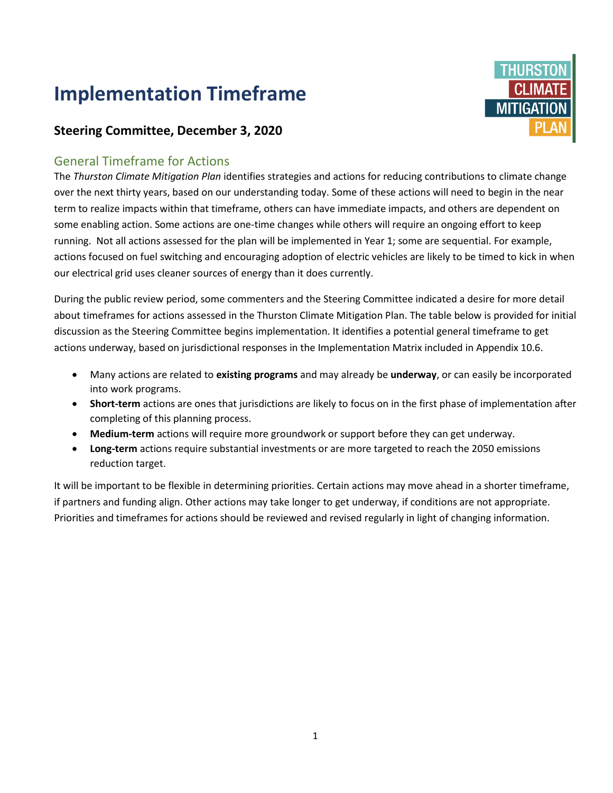## **Implementation Timeframe**



## **Steering Committee, December 3, 2020**

## General Timeframe for Actions

The *Thurston Climate Mitigation Plan* identifies strategies and actions for reducing contributions to climate change over the next thirty years, based on our understanding today. Some of these actions will need to begin in the near term to realize impacts within that timeframe, others can have immediate impacts, and others are dependent on some enabling action. Some actions are one-time changes while others will require an ongoing effort to keep running. Not all actions assessed for the plan will be implemented in Year 1; some are sequential. For example, actions focused on fuel switching and encouraging adoption of electric vehicles are likely to be timed to kick in when our electrical grid uses cleaner sources of energy than it does currently.

During the public review period, some commenters and the Steering Committee indicated a desire for more detail about timeframes for actions assessed in the Thurston Climate Mitigation Plan. The table below is provided for initial discussion as the Steering Committee begins implementation. It identifies a potential general timeframe to get actions underway, based on jurisdictional responses in the Implementation Matrix included in Appendix 10.6.

- Many actions are related to **existing programs** and may already be **underway**, or can easily be incorporated into work programs.
- **Short-term** actions are ones that jurisdictions are likely to focus on in the first phase of implementation after completing of this planning process.
- **Medium-term** actions will require more groundwork or support before they can get underway.
- **Long-term** actions require substantial investments or are more targeted to reach the 2050 emissions reduction target.

It will be important to be flexible in determining priorities. Certain actions may move ahead in a shorter timeframe, if partners and funding align. Other actions may take longer to get underway, if conditions are not appropriate. Priorities and timeframes for actions should be reviewed and revised regularly in light of changing information.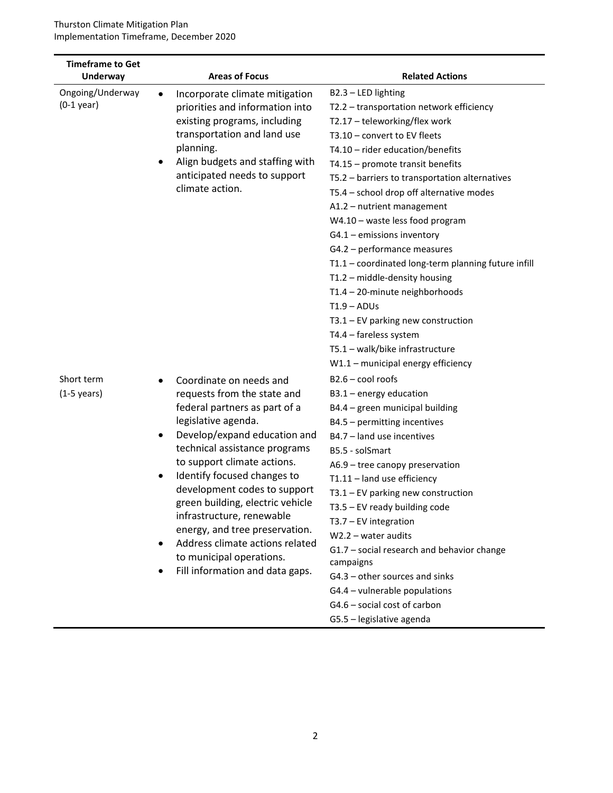| <b>Timeframe to Get</b><br><b>Underway</b> | <b>Areas of Focus</b>                                                                                                                                                                                                                                                                                                                                                                                                                                                                                             | <b>Related Actions</b>                                                                                                                                                                                                                                                                                                                                                                                                                                                                                                                                                                                                                                                                                                         |
|--------------------------------------------|-------------------------------------------------------------------------------------------------------------------------------------------------------------------------------------------------------------------------------------------------------------------------------------------------------------------------------------------------------------------------------------------------------------------------------------------------------------------------------------------------------------------|--------------------------------------------------------------------------------------------------------------------------------------------------------------------------------------------------------------------------------------------------------------------------------------------------------------------------------------------------------------------------------------------------------------------------------------------------------------------------------------------------------------------------------------------------------------------------------------------------------------------------------------------------------------------------------------------------------------------------------|
| Ongoing/Underway<br>$(0-1$ year)           | Incorporate climate mitigation<br>$\bullet$<br>priorities and information into<br>existing programs, including<br>transportation and land use<br>planning.<br>Align budgets and staffing with<br>anticipated needs to support<br>climate action.                                                                                                                                                                                                                                                                  | B2.3 - LED lighting<br>T2.2 - transportation network efficiency<br>T2.17 - teleworking/flex work<br>T3.10 - convert to EV fleets<br>T4.10 - rider education/benefits<br>T4.15 - promote transit benefits<br>T5.2 - barriers to transportation alternatives<br>T5.4 - school drop off alternative modes<br>A1.2 - nutrient management<br>W4.10 - waste less food program<br>$G4.1$ – emissions inventory<br>G4.2 - performance measures<br>T1.1 - coordinated long-term planning future infill<br>T1.2 - middle-density housing<br>T1.4 - 20-minute neighborhoods<br>$T1.9 - ADUs$<br>$T3.1 - EV$ parking new construction<br>T4.4 - fareless system<br>T5.1 - walk/bike infrastructure<br>$W1.1$ – municipal energy efficiency |
| Short term<br>$(1-5 \text{ years})$        | Coordinate on needs and<br>requests from the state and<br>federal partners as part of a<br>legislative agenda.<br>Develop/expand education and<br>$\bullet$<br>technical assistance programs<br>to support climate actions.<br>Identify focused changes to<br>٠<br>development codes to support<br>green building, electric vehicle<br>infrastructure, renewable<br>energy, and tree preservation.<br>Address climate actions related<br>$\bullet$<br>to municipal operations.<br>Fill information and data gaps. | $B2.6 - cool$ roofs<br>$B3.1$ – energy education<br>B4.4 - green municipal building<br>B4.5 - permitting incentives<br>B4.7 - land use incentives<br>B5.5 - solSmart<br>A6.9 - tree canopy preservation<br>T1.11 - land use efficiency<br>$T3.1 - EV$ parking new construction<br>$T3.5 - EV$ ready building code<br>$T3.7 - EV$ integration<br>$W2.2 - water$ audits<br>G1.7 - social research and behavior change<br>campaigns<br>G4.3 - other sources and sinks<br>G4.4 - vulnerable populations<br>G4.6 - social cost of carbon<br>G5.5 - legislative agenda                                                                                                                                                               |